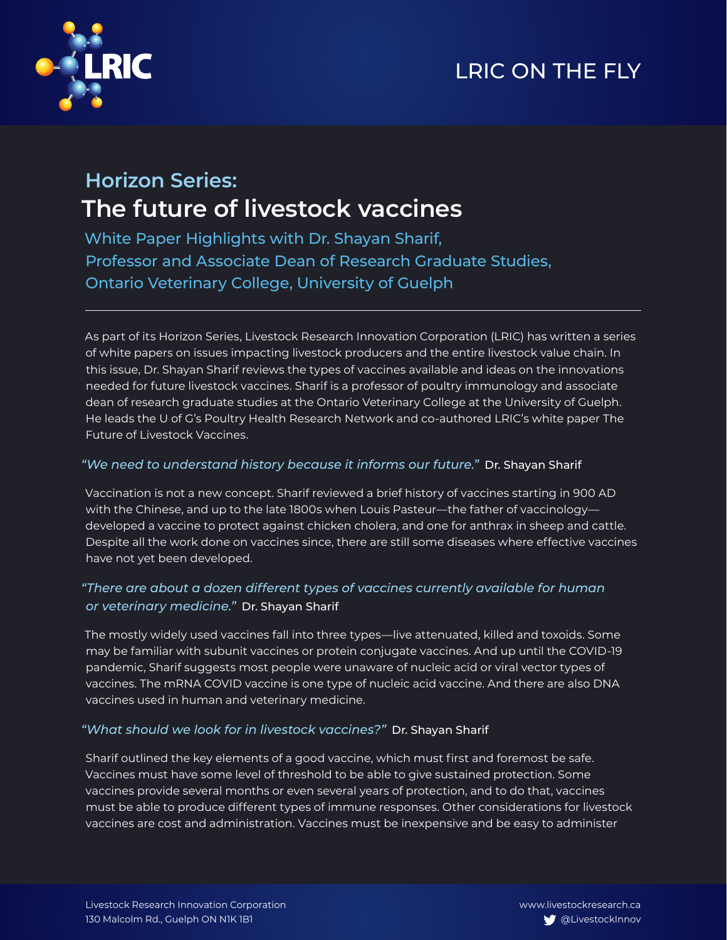## LRIC ON THE FLY



### **Horizon Series: The future of livestock vaccines**

White Paper Highlights with Dr. Shayan Sharif, Professor and Associate Dean of Research Graduate Studies, Ontario Veterinary College, University of Guelph

As part of its Horizon Series, Livestock Research Innovation Corporation (LRIC) has written a series of white papers on issues impacting livestock producers and the entire livestock value chain. In this issue, Dr. Shayan Sharif reviews the types of vaccines available and ideas on the innovations needed for future livestock vaccines. Sharif is a professor of poultry immunology and associate dean of research graduate studies at the Ontario Veterinary College at the University of Guelph. He leads the U of G's Poultry Health Research Network and co-authored LRIC's white paper The Future of Livestock Vaccines.

### *"We need to understand history because it informs our future."* Dr. Shayan Sharif

Vaccination is not a new concept. Sharif reviewed a brief history of vaccines starting in 900 AD with the Chinese, and up to the late 1800s when Louis Pasteur—the father of vaccinology developed a vaccine to protect against chicken cholera, and one for anthrax in sheep and cattle. Despite all the work done on vaccines since, there are still some diseases where effective vaccines have not yet been developed.

### *"There are about a dozen different types of vaccines currently available for human or veterinary medicine."* Dr. Shayan Sharif

The mostly widely used vaccines fall into three types—live attenuated, killed and toxoids. Some may be familiar with subunit vaccines or protein conjugate vaccines. And up until the COVID-19 pandemic, Sharif suggests most people were unaware of nucleic acid or viral vector types of vaccines. The mRNA COVID vaccine is one type of nucleic acid vaccine. And there are also DNA vaccines used in human and veterinary medicine.

### *"What should we look for in livestock vaccines?"* Dr. Shayan Sharif

Sharif outlined the key elements of a good vaccine, which must first and foremost be safe. Vaccines must have some level of threshold to be able to give sustained protection. Some vaccines provide several months or even several years of protection, and to do that, vaccines must be able to produce different types of immune responses. Other considerations for livestock vaccines are cost and administration. Vaccines must be inexpensive and be easy to administer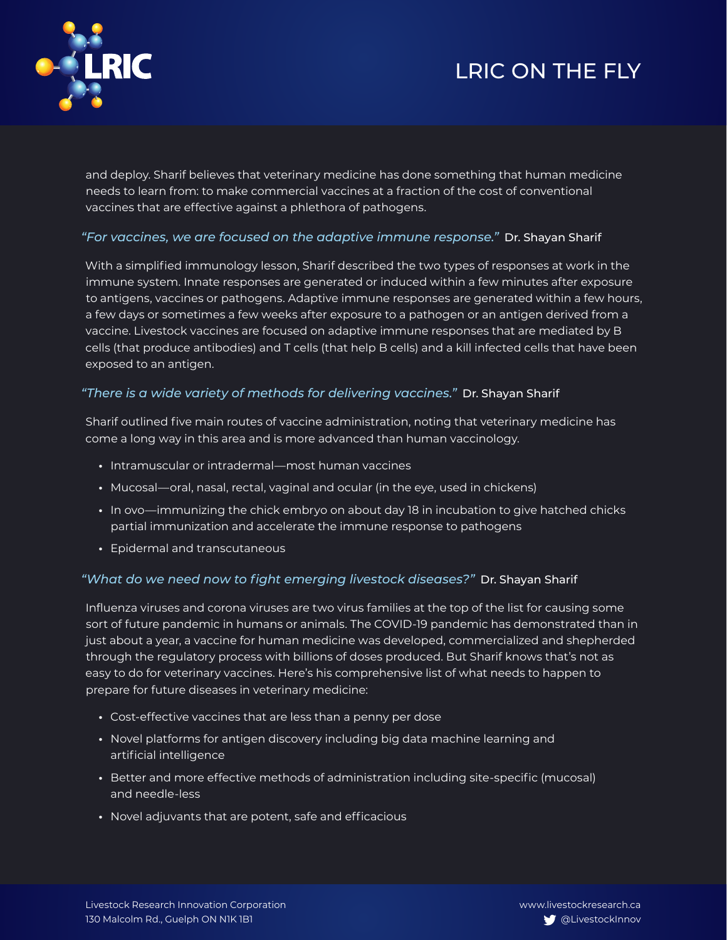# LRIC ON THE FLY



and deploy. Sharif believes that veterinary medicine has done something that human medicine needs to learn from: to make commercial vaccines at a fraction of the cost of conventional vaccines that are effective against a phlethora of pathogens.

### *"For vaccines, we are focused on the adaptive immune response."* Dr. Shayan Sharif

With a simplified immunology lesson, Sharif described the two types of responses at work in the immune system. Innate responses are generated or induced within a few minutes after exposure to antigens, vaccines or pathogens. Adaptive immune responses are generated within a few hours, a few days or sometimes a few weeks after exposure to a pathogen or an antigen derived from a vaccine. Livestock vaccines are focused on adaptive immune responses that are mediated by B cells (that produce antibodies) and T cells (that help B cells) and a kill infected cells that have been exposed to an antigen.

### *"There is a wide variety of methods for delivering vaccines."* Dr. Shayan Sharif

Sharif outlined five main routes of vaccine administration, noting that veterinary medicine has come a long way in this area and is more advanced than human vaccinology.

- **•** Intramuscular or intradermal—most human vaccines
- **•** Mucosal—oral, nasal, rectal, vaginal and ocular (in the eye, used in chickens)
- **•** In ovo—immunizing the chick embryo on about day 18 in incubation to give hatched chicks partial immunization and accelerate the immune response to pathogens
- **•** Epidermal and transcutaneous

### *"What do we need now to fight emerging livestock diseases?"* Dr. Shayan Sharif

Influenza viruses and corona viruses are two virus families at the top of the list for causing some sort of future pandemic in humans or animals. The COVID-19 pandemic has demonstrated than in just about a year, a vaccine for human medicine was developed, commercialized and shepherded through the regulatory process with billions of doses produced. But Sharif knows that's not as easy to do for veterinary vaccines. Here's his comprehensive list of what needs to happen to prepare for future diseases in veterinary medicine:

- **•** Cost-effective vaccines that are less than a penny per dose
- **•** Novel platforms for antigen discovery including big data machine learning and artificial intelligence
- **•** Better and more effective methods of administration including site-specific (mucosal) and needle-less
- **•** Novel adjuvants that are potent, safe and efficacious